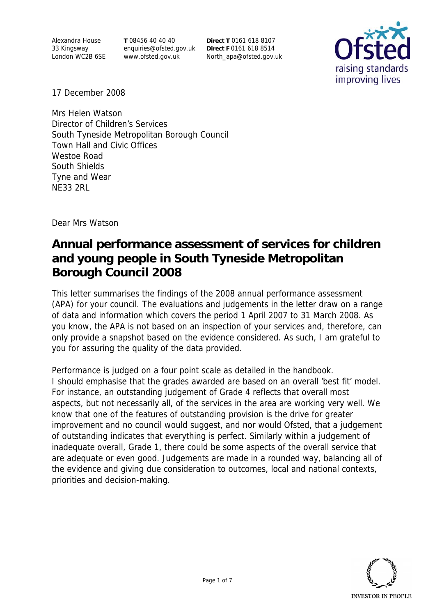Alexandra House 33 Kingsway London WC2B 6SE **T** 08456 40 40 40 enquiries@ofsted.gov.uk www.ofsted.gov.uk

**Direct T** 0161 618 8107 **Direct F** 0161 618 8514 North\_apa@ofsted.gov.uk



17 December 2008

Mrs Helen Watson Director of Children's Services South Tyneside Metropolitan Borough Council Town Hall and Civic Offices Westoe Road South Shields Tyne and Wear NE33 2RL

Dear Mrs Watson

# **Annual performance assessment of services for children and young people in South Tyneside Metropolitan Borough Council 2008**

This letter summarises the findings of the 2008 annual performance assessment (APA) for your council. The evaluations and judgements in the letter draw on a range of data and information which covers the period 1 April 2007 to 31 March 2008. As you know, the APA is not based on an inspection of your services and, therefore, can only provide a snapshot based on the evidence considered. As such, I am grateful to you for assuring the quality of the data provided.

Performance is judged on a four point scale as detailed in the handbook. I should emphasise that the grades awarded are based on an overall 'best fit' model. For instance, an outstanding judgement of Grade 4 reflects that overall most aspects, but not necessarily all, of the services in the area are working very well. We know that one of the features of outstanding provision is the drive for greater improvement and no council would suggest, and nor would Ofsted, that a judgement of outstanding indicates that everything is perfect. Similarly within a judgement of inadequate overall, Grade 1, there could be some aspects of the overall service that are adequate or even good. Judgements are made in a rounded way, balancing all of the evidence and giving due consideration to outcomes, local and national contexts, priorities and decision-making.

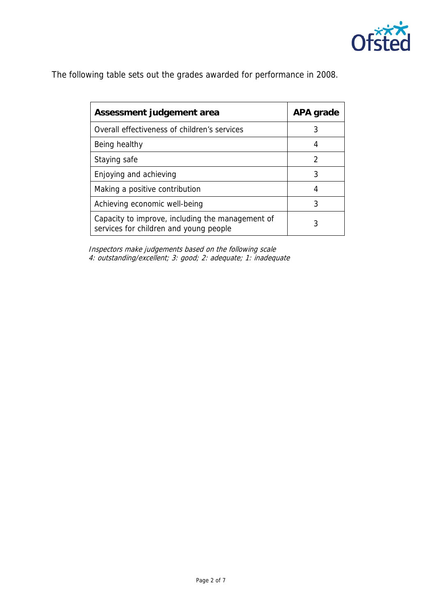

The following table sets out the grades awarded for performance in 2008.

| Assessment judgement area                                                                  | APA grade |
|--------------------------------------------------------------------------------------------|-----------|
| Overall effectiveness of children's services                                               | 3         |
| Being healthy                                                                              | 4         |
| Staying safe                                                                               | 2         |
| Enjoying and achieving                                                                     | 3         |
| Making a positive contribution                                                             | 4         |
| Achieving economic well-being                                                              | 3         |
| Capacity to improve, including the management of<br>services for children and young people | 3         |

 Inspectors make judgements based on the following scale 4: outstanding/excellent; 3: good; 2: adequate; 1: inadequate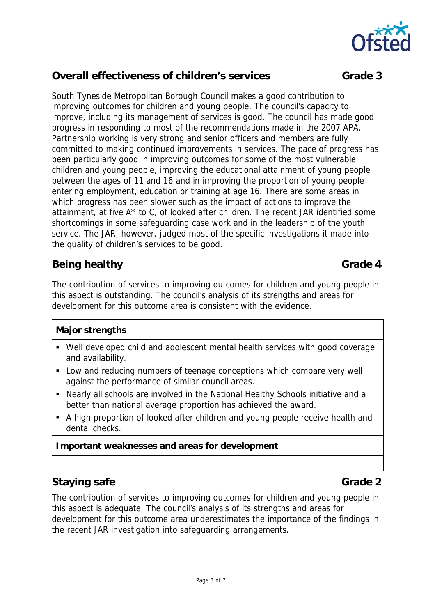

## **Overall effectiveness of children's services Grade 3**

South Tyneside Metropolitan Borough Council makes a good contribution to improving outcomes for children and young people. The council's capacity to improve, including its management of services is good. The council has made good progress in responding to most of the recommendations made in the 2007 APA. Partnership working is very strong and senior officers and members are fully committed to making continued improvements in services. The pace of progress has been particularly good in improving outcomes for some of the most vulnerable children and young people, improving the educational attainment of young people between the ages of 11 and 16 and in improving the proportion of young people entering employment, education or training at age 16. There are some areas in which progress has been slower such as the impact of actions to improve the attainment, at five A\* to C, of looked after children. The recent JAR identified some shortcomings in some safeguarding case work and in the leadership of the youth service. The JAR, however, judged most of the specific investigations it made into the quality of children's services to be good.

## **Being healthy Grade 4 Grade 4**

The contribution of services to improving outcomes for children and young people in this aspect is outstanding. The council's analysis of its strengths and areas for development for this outcome area is consistent with the evidence.

### **Major strengths**

- Well developed child and adolescent mental health services with good coverage and availability.
- **Low and reducing numbers of teenage conceptions which compare very well** against the performance of similar council areas.
- Nearly all schools are involved in the National Healthy Schools initiative and a better than national average proportion has achieved the award.
- A high proportion of looked after children and young people receive health and dental checks.

### **Important weaknesses and areas for development**

## **Staying safe** Grade 2

The contribution of services to improving outcomes for children and young people in this aspect is adequate. The council's analysis of its strengths and areas for development for this outcome area underestimates the importance of the findings in the recent JAR investigation into safeguarding arrangements.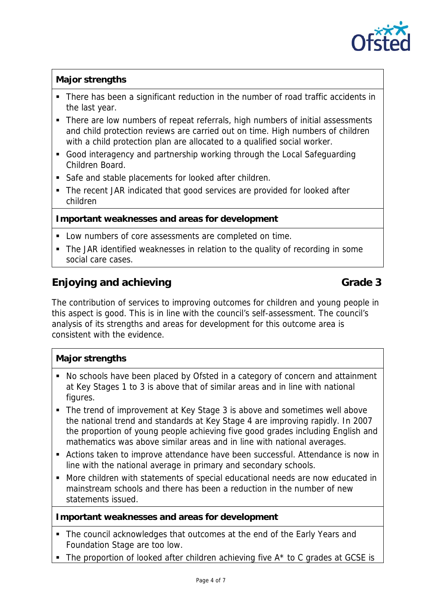

### **Major strengths**

- There has been a significant reduction in the number of road traffic accidents in the last year.
- There are low numbers of repeat referrals, high numbers of initial assessments and child protection reviews are carried out on time. High numbers of children with a child protection plan are allocated to a qualified social worker.
- Good interagency and partnership working through the Local Safeguarding Children Board.
- Safe and stable placements for looked after children.
- The recent JAR indicated that good services are provided for looked after children

#### **Important weaknesses and areas for development**

- Low numbers of core assessments are completed on time.
- The JAR identified weaknesses in relation to the quality of recording in some social care cases.

## **Enjoying and achieving Grade 3 Grade 3**

The contribution of services to improving outcomes for children and young people in this aspect is good. This is in line with the council's self-assessment. The council's analysis of its strengths and areas for development for this outcome area is consistent with the evidence.

### **Major strengths**

- No schools have been placed by Ofsted in a category of concern and attainment at Key Stages 1 to 3 is above that of similar areas and in line with national figures.
- The trend of improvement at Key Stage 3 is above and sometimes well above the national trend and standards at Key Stage 4 are improving rapidly. In 2007 the proportion of young people achieving five good grades including English and mathematics was above similar areas and in line with national averages.
- Actions taken to improve attendance have been successful. Attendance is now in line with the national average in primary and secondary schools.
- More children with statements of special educational needs are now educated in mainstream schools and there has been a reduction in the number of new statements issued.

#### **Important weaknesses and areas for development**

- The council acknowledges that outcomes at the end of the Early Years and Foundation Stage are too low.
- $\blacksquare$  The proportion of looked after children achieving five  $A^*$  to C grades at GCSE is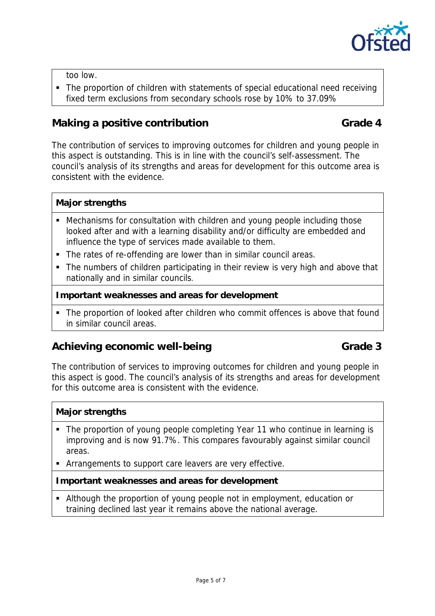

too low.

• The proportion of children with statements of special educational need receiving fixed term exclusions from secondary schools rose by 10% to 37.09%

## **Making a positive contribution Grade 4**

The contribution of services to improving outcomes for children and young people in this aspect is outstanding. This is in line with the council's self-assessment. The council's analysis of its strengths and areas for development for this outcome area is consistent with the evidence.

#### **Major strengths**

- Mechanisms for consultation with children and young people including those looked after and with a learning disability and/or difficulty are embedded and influence the type of services made available to them.
- The rates of re-offending are lower than in similar council areas.
- The numbers of children participating in their review is very high and above that nationally and in similar councils.

#### **Important weaknesses and areas for development**

 The proportion of looked after children who commit offences is above that found in similar council areas.

## Achieving economic well-being **Grade 3 Grade 3**

The contribution of services to improving outcomes for children and young people in this aspect is good. The council's analysis of its strengths and areas for development for this outcome area is consistent with the evidence.

### **Major strengths**

- The proportion of young people completing Year 11 who continue in learning is improving and is now 91.7%. This compares favourably against similar council areas.
- Arrangements to support care leavers are very effective.

#### **Important weaknesses and areas for development**

 Although the proportion of young people not in employment, education or training declined last year it remains above the national average.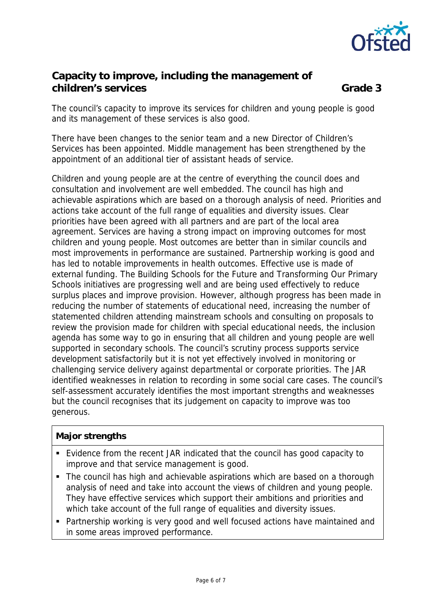

## **Capacity to improve, including the management of children's services** Grade 3

The council's capacity to improve its services for children and young people is good and its management of these services is also good.

There have been changes to the senior team and a new Director of Children's Services has been appointed. Middle management has been strengthened by the appointment of an additional tier of assistant heads of service.

Children and young people are at the centre of everything the council does and consultation and involvement are well embedded. The council has high and achievable aspirations which are based on a thorough analysis of need. Priorities and actions take account of the full range of equalities and diversity issues. Clear priorities have been agreed with all partners and are part of the local area agreement. Services are having a strong impact on improving outcomes for most children and young people. Most outcomes are better than in similar councils and most improvements in performance are sustained. Partnership working is good and has led to notable improvements in health outcomes. Effective use is made of external funding. The Building Schools for the Future and Transforming Our Primary Schools initiatives are progressing well and are being used effectively to reduce surplus places and improve provision. However, although progress has been made in reducing the number of statements of educational need, increasing the number of statemented children attending mainstream schools and consulting on proposals to review the provision made for children with special educational needs, the inclusion agenda has some way to go in ensuring that all children and young people are well supported in secondary schools. The council's scrutiny process supports service development satisfactorily but it is not yet effectively involved in monitoring or challenging service delivery against departmental or corporate priorities. The JAR identified weaknesses in relation to recording in some social care cases. The council's self-assessment accurately identifies the most important strengths and weaknesses but the council recognises that its judgement on capacity to improve was too generous.

## **Major strengths**

- Evidence from the recent JAR indicated that the council has good capacity to improve and that service management is good.
- The council has high and achievable aspirations which are based on a thorough analysis of need and take into account the views of children and young people. They have effective services which support their ambitions and priorities and which take account of the full range of equalities and diversity issues.
- Partnership working is very good and well focused actions have maintained and in some areas improved performance.